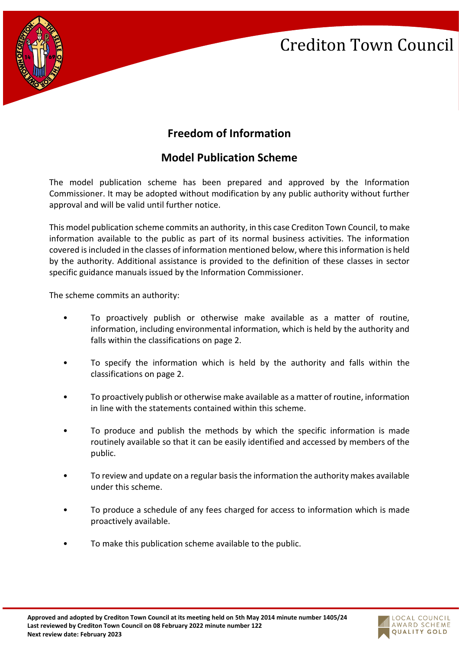

## **Freedom of Information**

## **Model Publication Scheme**

The model publication scheme has been prepared and approved by the Information Commissioner. It may be adopted without modification by any public authority without further approval and will be valid until further notice.

This model publication scheme commits an authority, in this case Crediton Town Council, to make information available to the public as part of its normal business activities. The information covered is included in the classes of information mentioned below, where this information is held by the authority. Additional assistance is provided to the definition of these classes in sector specific guidance manuals issued by the Information Commissioner.

The scheme commits an authority:

- To proactively publish or otherwise make available as a matter of routine, information, including environmental information, which is held by the authority and falls within the classifications on page 2.
- To specify the information which is held by the authority and falls within the classifications on page 2.
- To proactively publish or otherwise make available as a matter of routine, information in line with the statements contained within this scheme.
- To produce and publish the methods by which the specific information is made routinely available so that it can be easily identified and accessed by members of the public.
- To review and update on a regular basis the information the authority makes available under this scheme.
- To produce a schedule of any fees charged for access to information which is made proactively available.
- To make this publication scheme available to the public.

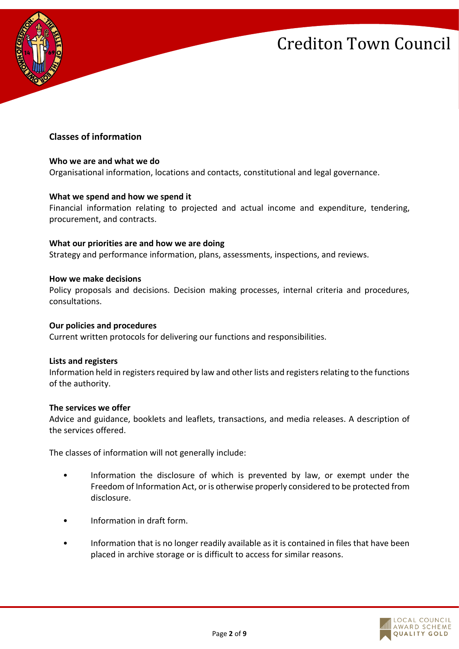

### **Classes of information**

#### **Who we are and what we do**

Organisational information, locations and contacts, constitutional and legal governance.

#### **What we spend and how we spend it**

Financial information relating to projected and actual income and expenditure, tendering, procurement, and contracts.

#### **What our priorities are and how we are doing**

Strategy and performance information, plans, assessments, inspections, and reviews.

#### **How we make decisions**

Policy proposals and decisions. Decision making processes, internal criteria and procedures, consultations.

#### **Our policies and procedures**

Current written protocols for delivering our functions and responsibilities.

#### **Lists and registers**

Information held in registers required by law and other lists and registers relating to the functions of the authority.

#### **The services we offer**

Advice and guidance, booklets and leaflets, transactions, and media releases. A description of the services offered.

The classes of information will not generally include:

- Information the disclosure of which is prevented by law, or exempt under the Freedom of Information Act, or is otherwise properly considered to be protected from disclosure.
- Information in draft form.
- Information that is no longer readily available as it is contained in files that have been placed in archive storage or is difficult to access for similar reasons.

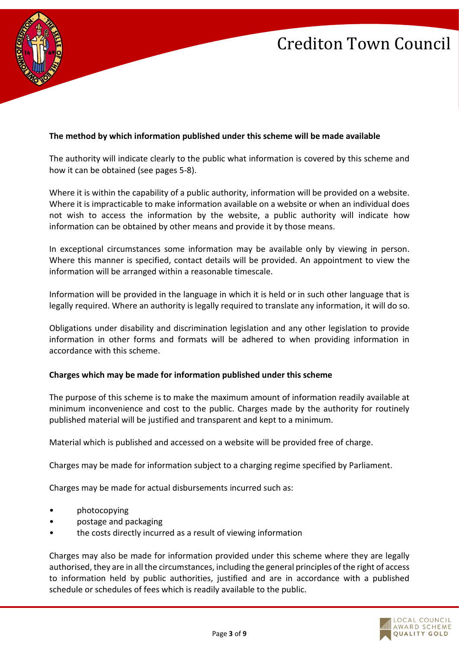

### **The method by which information published under this scheme will be made available**

The authority will indicate clearly to the public what information is covered by this scheme and how it can be obtained (see pages 5-8).

Where it is within the capability of a public authority, information will be provided on a website. Where it is impracticable to make information available on a website or when an individual does not wish to access the information by the website, a public authority will indicate how information can be obtained by other means and provide it by those means.

In exceptional circumstances some information may be available only by viewing in person. Where this manner is specified, contact details will be provided. An appointment to view the information will be arranged within a reasonable timescale.

Information will be provided in the language in which it is held or in such other language that is legally required. Where an authority is legally required to translate any information, it will do so.

Obligations under disability and discrimination legislation and any other legislation to provide information in other forms and formats will be adhered to when providing information in accordance with this scheme.

### **Charges which may be made for information published under this scheme**

The purpose of this scheme is to make the maximum amount of information readily available at minimum inconvenience and cost to the public. Charges made by the authority for routinely published material will be justified and transparent and kept to a minimum.

Material which is published and accessed on a website will be provided free of charge.

Charges may be made for information subject to a charging regime specified by Parliament.

Charges may be made for actual disbursements incurred such as:

- photocopying
- postage and packaging
- the costs directly incurred as a result of viewing information

Charges may also be made for information provided under this scheme where they are legally authorised, they are in all the circumstances, including the general principles of the right of access to information held by public authorities, justified and are in accordance with a published schedule or schedules of fees which is readily available to the public.

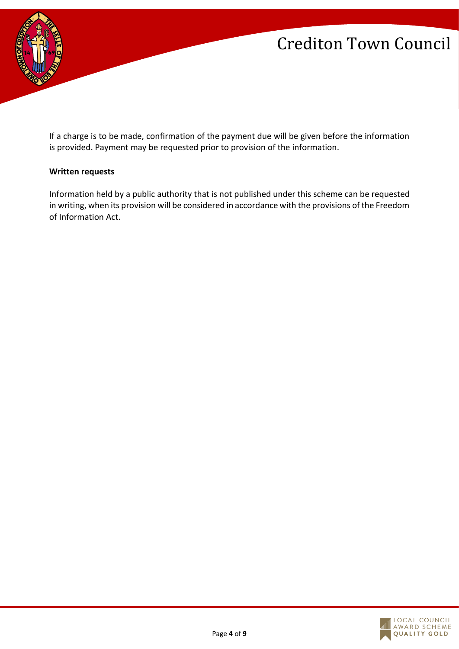

If a charge is to be made, confirmation of the payment due will be given before the information is provided. Payment may be requested prior to provision of the information.

#### **Written requests**

Information held by a public authority that is not published under this scheme can be requested in writing, when its provision will be considered in accordance with the provisions of the Freedom of Information Act.

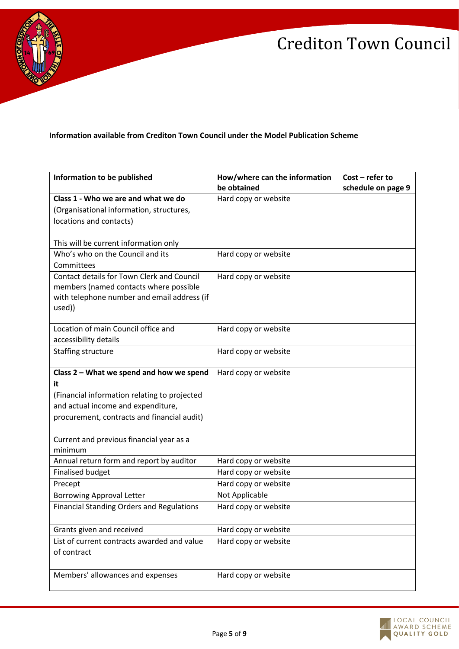

**Information available from Crediton Town Council under the Model Publication Scheme**

| Information to be published                      | How/where can the information | $Cost - refer to$  |
|--------------------------------------------------|-------------------------------|--------------------|
|                                                  | be obtained                   | schedule on page 9 |
| Class 1 - Who we are and what we do              | Hard copy or website          |                    |
| (Organisational information, structures,         |                               |                    |
| locations and contacts)                          |                               |                    |
|                                                  |                               |                    |
| This will be current information only            |                               |                    |
| Who's who on the Council and its                 | Hard copy or website          |                    |
| Committees                                       |                               |                    |
| Contact details for Town Clerk and Council       | Hard copy or website          |                    |
| members (named contacts where possible           |                               |                    |
| with telephone number and email address (if      |                               |                    |
| used))                                           |                               |                    |
| Location of main Council office and              | Hard copy or website          |                    |
| accessibility details                            |                               |                    |
| Staffing structure                               | Hard copy or website          |                    |
|                                                  |                               |                    |
| Class 2 - What we spend and how we spend         | Hard copy or website          |                    |
| it                                               |                               |                    |
| (Financial information relating to projected     |                               |                    |
| and actual income and expenditure,               |                               |                    |
| procurement, contracts and financial audit)      |                               |                    |
|                                                  |                               |                    |
| Current and previous financial year as a         |                               |                    |
| minimum                                          |                               |                    |
| Annual return form and report by auditor         | Hard copy or website          |                    |
| <b>Finalised budget</b>                          | Hard copy or website          |                    |
| Precept                                          | Hard copy or website          |                    |
| <b>Borrowing Approval Letter</b>                 | Not Applicable                |                    |
| <b>Financial Standing Orders and Regulations</b> | Hard copy or website          |                    |
|                                                  |                               |                    |
| Grants given and received                        | Hard copy or website          |                    |
| List of current contracts awarded and value      | Hard copy or website          |                    |
| of contract                                      |                               |                    |
|                                                  |                               |                    |
| Members' allowances and expenses                 | Hard copy or website          |                    |
|                                                  |                               |                    |

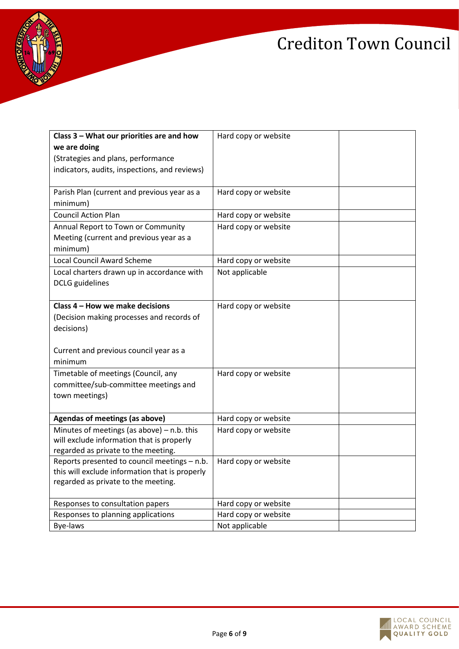

| Class 3 - What our priorities are and how<br>we are doing<br>(Strategies and plans, performance<br>indicators, audits, inspections, and reviews) | Hard copy or website |  |
|--------------------------------------------------------------------------------------------------------------------------------------------------|----------------------|--|
| Parish Plan (current and previous year as a<br>minimum)                                                                                          | Hard copy or website |  |
| <b>Council Action Plan</b>                                                                                                                       | Hard copy or website |  |
| Annual Report to Town or Community<br>Meeting (current and previous year as a<br>minimum)                                                        | Hard copy or website |  |
| <b>Local Council Award Scheme</b>                                                                                                                | Hard copy or website |  |
| Local charters drawn up in accordance with<br><b>DCLG</b> guidelines                                                                             | Not applicable       |  |
| Class 4 - How we make decisions<br>(Decision making processes and records of<br>decisions)<br>Current and previous council year as a<br>minimum  | Hard copy or website |  |
| Timetable of meetings (Council, any<br>committee/sub-committee meetings and<br>town meetings)                                                    | Hard copy or website |  |
| Agendas of meetings (as above)                                                                                                                   | Hard copy or website |  |
| Minutes of meetings (as above) $-$ n.b. this<br>will exclude information that is properly<br>regarded as private to the meeting.                 | Hard copy or website |  |
| Reports presented to council meetings - n.b.<br>this will exclude information that is properly<br>regarded as private to the meeting.            | Hard copy or website |  |
| Responses to consultation papers                                                                                                                 | Hard copy or website |  |
| Responses to planning applications                                                                                                               | Hard copy or website |  |
| Bye-laws                                                                                                                                         | Not applicable       |  |

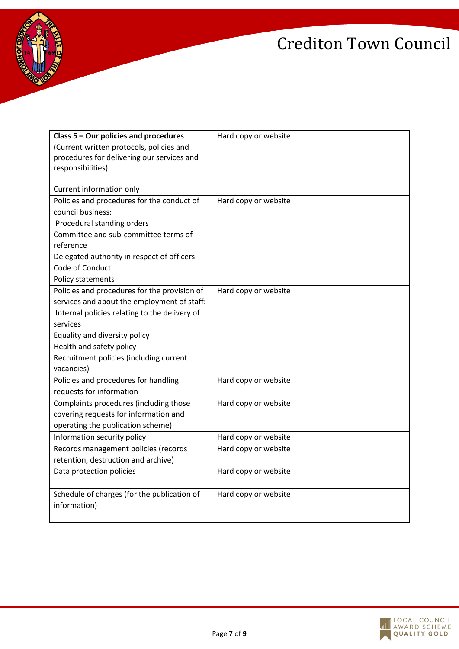

| Class 5 - Our policies and procedures         | Hard copy or website |  |
|-----------------------------------------------|----------------------|--|
| (Current written protocols, policies and      |                      |  |
| procedures for delivering our services and    |                      |  |
| responsibilities)                             |                      |  |
|                                               |                      |  |
| Current information only                      |                      |  |
| Policies and procedures for the conduct of    | Hard copy or website |  |
| council business:                             |                      |  |
| Procedural standing orders                    |                      |  |
| Committee and sub-committee terms of          |                      |  |
| reference                                     |                      |  |
| Delegated authority in respect of officers    |                      |  |
| Code of Conduct                               |                      |  |
| Policy statements                             |                      |  |
| Policies and procedures for the provision of  | Hard copy or website |  |
| services and about the employment of staff:   |                      |  |
| Internal policies relating to the delivery of |                      |  |
| services                                      |                      |  |
| Equality and diversity policy                 |                      |  |
| Health and safety policy                      |                      |  |
| Recruitment policies (including current       |                      |  |
| vacancies)                                    |                      |  |
| Policies and procedures for handling          | Hard copy or website |  |
| requests for information                      |                      |  |
| Complaints procedures (including those        | Hard copy or website |  |
| covering requests for information and         |                      |  |
| operating the publication scheme)             |                      |  |
| Information security policy                   | Hard copy or website |  |
| Records management policies (records          | Hard copy or website |  |
| retention, destruction and archive)           |                      |  |
| Data protection policies                      | Hard copy or website |  |
|                                               |                      |  |
| Schedule of charges (for the publication of   | Hard copy or website |  |
| information)                                  |                      |  |
|                                               |                      |  |
|                                               |                      |  |

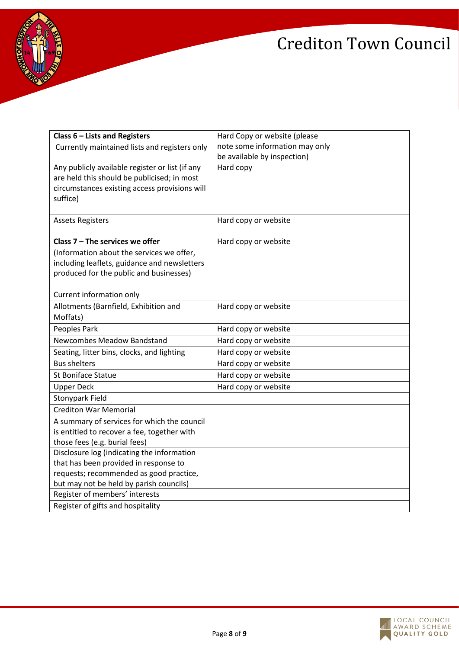

| Class $6$ – Lists and Registers                                                         | Hard Copy or website (please   |  |
|-----------------------------------------------------------------------------------------|--------------------------------|--|
| Currently maintained lists and registers only                                           | note some information may only |  |
|                                                                                         | be available by inspection)    |  |
| Any publicly available register or list (if any                                         | Hard copy                      |  |
| are held this should be publicised; in most                                             |                                |  |
| circumstances existing access provisions will                                           |                                |  |
| suffice)                                                                                |                                |  |
|                                                                                         |                                |  |
| <b>Assets Registers</b>                                                                 | Hard copy or website           |  |
| Class $7$ – The services we offer                                                       |                                |  |
|                                                                                         | Hard copy or website           |  |
| (Information about the services we offer,                                               |                                |  |
| including leaflets, guidance and newsletters<br>produced for the public and businesses) |                                |  |
|                                                                                         |                                |  |
| Current information only                                                                |                                |  |
| Allotments (Barnfield, Exhibition and                                                   | Hard copy or website           |  |
| Moffats)                                                                                |                                |  |
| Peoples Park                                                                            | Hard copy or website           |  |
| Newcombes Meadow Bandstand                                                              | Hard copy or website           |  |
|                                                                                         |                                |  |
| Seating, litter bins, clocks, and lighting                                              | Hard copy or website           |  |
| <b>Bus shelters</b>                                                                     | Hard copy or website           |  |
| <b>St Boniface Statue</b>                                                               | Hard copy or website           |  |
| <b>Upper Deck</b>                                                                       | Hard copy or website           |  |
| <b>Stonypark Field</b>                                                                  |                                |  |
| <b>Crediton War Memorial</b>                                                            |                                |  |
| A summary of services for which the council                                             |                                |  |
| is entitled to recover a fee, together with                                             |                                |  |
| those fees (e.g. burial fees)                                                           |                                |  |
| Disclosure log (indicating the information                                              |                                |  |
| that has been provided in response to                                                   |                                |  |
| requests; recommended as good practice,                                                 |                                |  |
| but may not be held by parish councils)                                                 |                                |  |
| Register of members' interests                                                          |                                |  |
| Register of gifts and hospitality                                                       |                                |  |